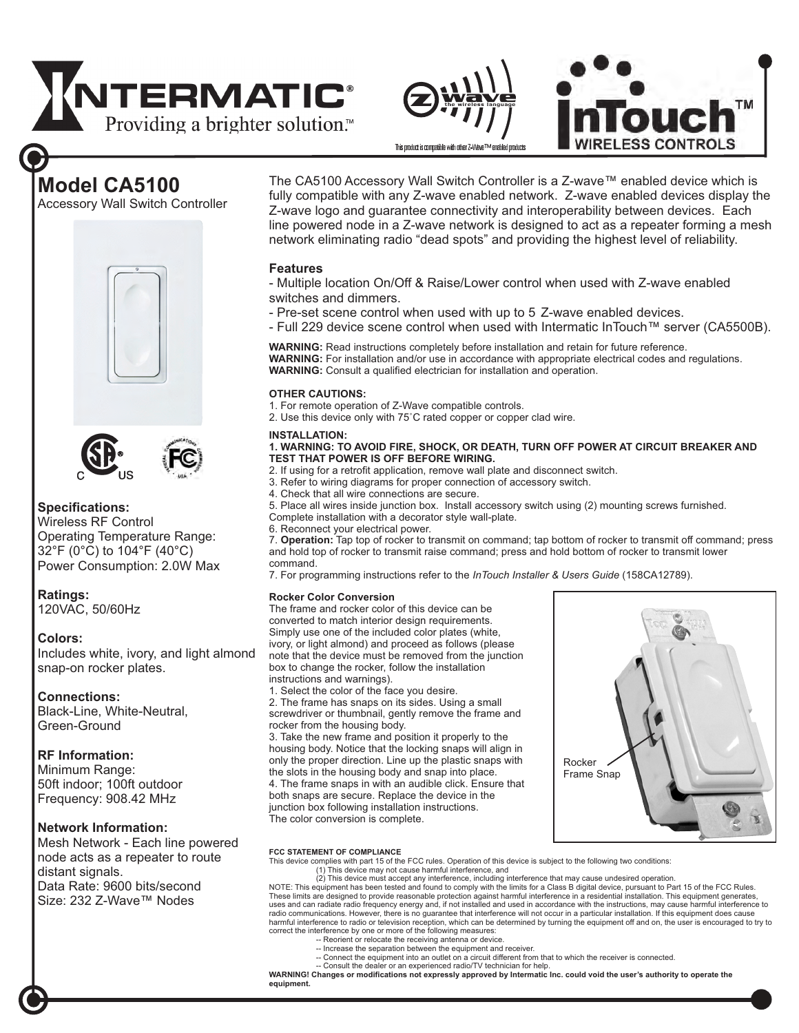# **TNTERMATIC®** Providing a brighter solution.<sup>™</sup>





# **Model CA5100**

Accessory Wall Switch Controller





### **Specifications:**

Wireless RF Control Operating Temperature Range: 32°F (0°C) to 104°F (40°C) Power Consumption: 2.0W Max

### **Ratings:**

120VAC, 50/60Hz

### **Colors:**

Includes white, ivory, and light almond snap-on rocker plates.

### **Connections:**

Black-Line, White-Neutral, Green-Ground

### **RF Information:**

Frequency: 908.42 MHz Minimum Range: 50ft indoor; 100ft outdoor

### **Network Information:**

Mesh Network - Each line powered node acts as a repeater to route distant signals. Data Rate: 9600 bits/second Size: 232 Z-Wave™ Nodes

The CA5100 Accessory Wall Switch Controller is a Z-wave™ enabled device which is fully compatible with any Z-wave enabled network. Z-wave enabled devices display the Z-wave logo and guarantee connectivity and interoperability between devices. Each line powered node in a Z-wave network is designed to act as a repeater forming a mesh network eliminating radio "dead spots" and providing the highest level of reliability.

### **Features**

- Multiple location On/Off & Raise/Lower control when used with Z-wave enabled switches and dimmers.

- Pre-set scene control when used with up to 5 Z-wave enabled devices.
- Full 229 device scene control when used with Intermatic InTouch™ server (CA5500B).

**WARNING:** Read instructions completely before installation and retain for future reference. **WARNING:**  For installation and/or use in accordance with appropriate electrical codes and regulations. WARNING: Consult a qualified electrician for installation and operation.

### **OTHER CAUTIONS:**

- 1. For remote operation of Z-Wave compatible controls.
- 2. Use this device only with 75˚C rated copper or copper clad wire.

### **INSTALLATION:**

### **1. WARNING: TO AVOID FIRE, SHOCK, OR DEATH, TURN OFF POWER AT CIRCUIT BREAKER AND TEST THAT POWER IS OFF BEFORE WIRING.**

- 2. If using for a retrofit application, remove wall plate and disconnect switch.
- 3. Refer to wiring diagrams for proper connection of accessory switch.
- 4. Check that all wire connections are secure.
- 5. Place all wires inside junction box. Install accessory switch using (2) mounting screws furnished.
- Complete installation with a decorator style wall-plate.
- 6. Reconnect your electrical power.

7. **Operation:** Tap top of rocker to transmit on command; tap bottom of rocker to transmit off command; press and hold top of rocker to transmit raise command; press and hold bottom of rocker to transmit lower command.

7. For programming instructions refer to the *InTouch Installer & Users Guide* (158CA12789).

### **Rocker Color Conversion**

The frame and rocker color of this device can be converted to match interior design requirements. Simply use one of the included color plates (white, ivory, or light almond) and proceed as follows (please note that the device must be removed from the junction box to change the rocker, follow the installation instructions and warnings).

1. Select the color of the face you desire.

2. The frame has snaps on its sides. Using a small screwdriver or thumbnail, gently remove the frame and rocker from the housing body.

3. Take the new frame and position it properly to the housing body. Notice that the locking snaps will align in only the proper direction. Line up the plastic snaps with the slots in the housing body and snap into place. 4. The frame snaps in with an audible click. Ensure that both snaps are secure. Replace the device in the junction box following installation instructions. The color conversion is complete.



### **FCC STATEMENT OF COMPLIANCE**

This device complies with part 15 of the FCC rules. Operation of this device is subject to the following two conditions:

(1) This device may not cause harmful interference, and (2) This device must accept any interference, including interference that may cause undesired operation.

NOTE: This equipment has been tested and found to comply with the limits for a Class B digital device, pursuant to Part 15 of the FCC Rules.<br>These limits are designed to provide reasonable protection against harmful interf uses and can radiate radio frequency energy and, if not installed and used in accordance with the instructions, may cause harmful interference to radio communications. However, there is no guarantee that interference will not occur in a particular installation. If this equipment does cause<br>harmful interference to radio or television reception, which can be determine

- correct the interference by one or more of the following measures: -- Reorient or relocate the receiving antenna or device.
	- -- Increase the separation between the equipment and receiver.
	- -- Connect the equipment into an outlet on a circuit different from that to which the receiver is connected. -- Consult the dealer or an experienced radio/TV technician for help.

**WARNING! Changes or modifications not expressly approved by Intermatic Inc. could void the user's authority to operate the equipment.**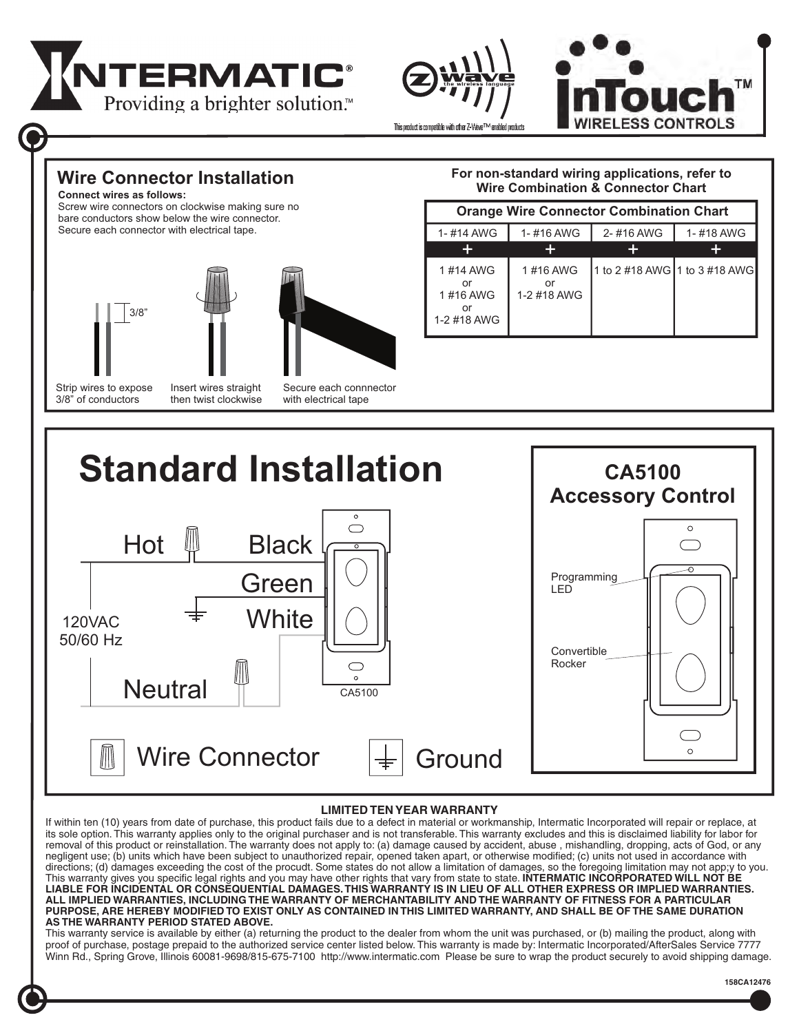





**Wire Connector Installation**

**Connect wires as follows:** Screw wire connectors on clockwise making sure no

bare conductors show below the wire connector.

Secure each connector with electrical tape.







Strip wires to expose 3/8" of conductors

Insert wires straight then twist clockwise Secure each connnector with electrical tape

### **For non-standard wiring applications, refer to Wire Combination & Connector Chart**

| <b>Orange Wire Connector Combination Chart</b> |                               |                               |           |  |  |
|------------------------------------------------|-------------------------------|-------------------------------|-----------|--|--|
| 1-#14 AWG                                      | 1-#16 AWG                     | 2-#16 AWG                     | 1-#18 AWG |  |  |
|                                                |                               |                               |           |  |  |
| 1#14 AWG<br>or<br>1#16 AWG<br>1-2 #18 AWG      | 1#16 AWG<br>nr<br>1-2 #18 AWG | 1 to 2 #18 AWG 1 to 3 #18 AWG |           |  |  |



### **LIMITED TEN YEAR WARRANTY**

If within ten (10) years from date of purchase, this product fails due to a defect in material or workmanship, Intermatic Incorporated will repair or replace, at its sole option. This warranty applies only to the original purchaser and is not transferable. This warranty excludes and this is disclaimed liability for labor for removal of this product or reinstallation. The warranty does not apply to: (a) damage caused by accident, abuse, mishandling, dropping, acts of God, or any negligent use; (b) units which have been subject to unauthorized repair, opened taken apart, or otherwise modified; (c) units not used in accordance with directions; (d) damages exceeding the cost of the procudt. Some states do not allow a limitation of damages, so the foregoing limitation may not app;y to you. This warranty gives you specific legal rights and you may have other rights that vary from state to state. **INTERMATIC INCORPORATED WILL NOT BE LIABLE FOR INCIDENTAL OR CONSEQUENTIAL DAMAGES. THIS WARRANTY IS IN LIEU OF ALL OTHER EXPRESS OR IMPLIED WARRANTIES. ALL IMPLIED WARRANTIES, INCLUDING THE WARRANTY OF MERCHANTABILITY AND THE WARRANTY OF FITNESS FOR A PARTICULAR PURPOSE, ARE HEREBY MODIFIED TO EXIST ONLY AS CONTAINED IN THIS LIMITED WARRANTY, AND SHALL BE OF THE SAME DURATION AS THE WARRANTY PERIOD STATED ABOVE.**

This warranty service is available by either (a) returning the product to the dealer from whom the unit was purchased, or (b) mailing the product, along with proof of purchase, postage prepaid to the authorized service center listed below. This warranty is made by: Intermatic Incorporated/AfterSales Service 7777 Winn Rd., Spring Grove, Illinois 60081-9698/815-675-7100 http://www.intermatic.com Please be sure to wrap the product securely to avoid shipping damage.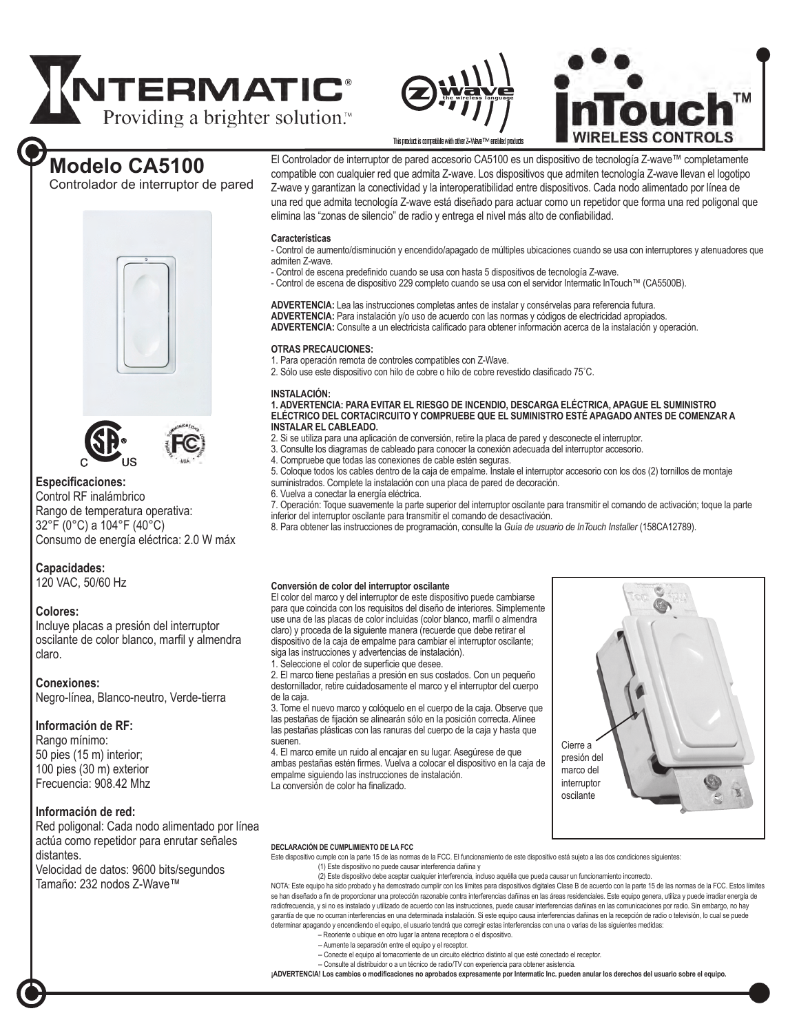# **NTERMATIC**<sup>®</sup><br>Providing a brighter solution.<sup>®</sup> Providing a brighter solution.<sup>™</sup>





## **Modelo CA5100**

Controlador de interruptor de pared





### **Especificaciones:**

Control RF inalámbrico Rango de temperatura operativa: 32°F (0°C) a 104°F (40°C) Consumo de energía eléctrica: 2.0 W máx

### **Capacidades:**

120 VAC, 50/60 Hz

### **Colores:**

Incluye placas a presión del interruptor oscilante de color blanco, marfil y almendra claro.

### **Conexiones:**

Negro-línea, Blanco-neutro, Verde-tierra

### **Información de RF:**

Rango mínimo: 50 pies (15 m) interior; 100 pies (30 m) exterior Frecuencia: 908.42 Mhz

### **Información de red:**

Red poligonal: Cada nodo alimentado por línea actúa como repetidor para enrutar señales distantes. Velocidad de datos: 9600 bits/segundos

Tamaño: 232 nodos Z-Wave™

El Controlador de interruptor de pared accesorio CA5100 es un dispositivo de tecnología Z-wave™ completamente compatible con cualquier red que admita Z-wave. Los dispositivos que admiten tecnología Z-wave llevan el logotipo Z-wave y garantizan la conectividad y la interoperatibilidad entre dispositivos. Cada nodo alimentado por línea de una red que admita tecnología Z-wave está diseñado para actuar como un repetidor que forma una red poligonal que elimina las "zonas de silencio" de radio y entrega el nivel más alto de confiabilidad.

### **Características**

- Control de aumento/disminución y encendido/apagado de múltiples ubicaciones cuando se usa con interruptores y atenuadores que admiten Z-wave.

- Control de escena predefinido cuando se usa con hasta 5 dispositivos de tecnología Z-wave.
- Control de escena de dispositivo 229 completo cuando se usa con el servidor Intermatic InTouch™ (CA5500B).

**ADVERTENCIA:** Lea las instrucciones completas antes de instalar y consérvelas para referencia futura. **ADVERTENCIA:** Para instalación y/o uso de acuerdo con las normas y códigos de electricidad apropiados. **ADVERTENCIA:** Consulte a un electricista calificado para obtener información acerca de la instalación y operación.

### **OTRAS PRECAUCIONES:**

1. Para operación remota de controles compatibles con Z-Wave.

2. Sólo use este dispositivo con hilo de cobre o hilo de cobre revestido clasificado 75˚C.

### **INSTALACIÓN:**

**1. ADVERTENCIA: PARA EVITAR EL RIESGO DE INCENDIO, DESCARGA ELÉCTRICA, APAGUE EL SUMINISTRO ELÉCTRICO DEL CORTACIRCUITO Y COMPRUEBE QUE EL SUMINISTRO ESTÉ APAGADO ANTES DE COMENZAR A INSTALAR EL CABLEADO.** 

- 2. Si se utiliza para una aplicación de conversión, retire la placa de pared y desconecte el interruptor.
- 3. Consulte los diagramas de cableado para conocer la conexión adecuada del interruptor accesorio.
- Compruebe que todas las conexiones de cable estén seguras.
- 5. Coloque todos los cables dentro de la caja de empalme. Instale el interruptor accesorio con los dos (2) tornillos de montaje suministrados. Complete la instalación con una placa de pared de decoración.
- 6. Vuelva a conectar la energía eléctrica.

7. Operación: Toque suavemente la parte superior del interruptor oscilante para transmitir el comando de activación; toque la parte inferior del interruptor oscilante para transmitir el comando de desactivación.

8. Para obtener las instrucciones de programación, consulte la *Guía de usuario de InTouch Installer* (158CA12789).

### **Conversión de color del interruptor oscilante**

El color del marco y del interruptor de este dispositivo puede cambiarse para que coincida con los requisitos del diseño de interiores. Simplemente use una de las placas de color incluidas (color blanco, marfil o almendra claro) y proceda de la siguiente manera (recuerde que debe retirar el dispositivo de la caja de empalme para cambiar el interruptor oscilante; siga las instrucciones y advertencias de instalación). 1. Seleccione el color de superficie que desee.

2. El marco tiene pestañas a presión en sus costados. Con un pequeño destornillador, retire cuidadosamente el marco y el interruptor del cuerpo de la caja.

3. Tome el nuevo marco y colóquelo en el cuerpo de la caja. Observe que las pestañas de fijación se alinearán sólo en la posición correcta. Alinee las pestañas plásticas con las ranuras del cuerpo de la caja y hasta que suenen.

4. El marco emite un ruido al encajar en su lugar. Asegúrese de que ambas pestañas estén firmes. Vuelva a colocar el dispositivo en la caja de empalme siguiendo las instrucciones de instalación. La conversión de color ha finalizado.



### **DECLARACIÓN DE CUMPLIMIENTO DE LA FCC**

Este dispositivo cumple con la parte 15 de las normas de la FCC. El funcionamiento de este dispositivo está sujeto a las dos condiciones siguientes: (1) Este dispositivo no puede causar interferencia dañina y

(2) Este dispositivo debe aceptar cualquier interferencia, incluso aquélla que pueda causar un funcionamiento incorrecto.

NOTA: Este equipo ha sido probado y ha demostrado cumplir con los límites para dispositivos digitales Clase B de acuerdo con la parte 15 de las normas de la FCC. Estos límites se han diseñado a fin de proporcionar una protección razonable contra interferencias dañinas en las áreas residenciales. Este equipo genera, utiliza y puede irradiar energía de radiofrecuencia, y si no es instalado y utilizado de acuerdo con las instrucciones, puede causar interferencias dañinas en las comunicaciones por radio. Sin embargo, no hay garantía de que no ocurran interferencias en una determinada instalación. Si este equipo causa interferencias dañinas en la recepción de radio o televisión, lo cual se puede determinar apagando y encendiendo el equipo, el usuario tendrá que corregir estas interferencias con una o varias de las siguientes medidas:

- Reoriente o ubique en otro lugar la antena receptora o el dispositivo.
- -- Aumente la separación entre el equipo y el receptor.
- -- Conecte el equipo al tomacorriente de un circuito eléctrico distinto al que esté conectado el receptor.
- Consulte al distribuidor o a un técnico de radio/TV con experiencia para obtener asistencia.

**¡ADVERTENCIA! Los cambios o modificaciones no aprobados expresamente por Intermatic Inc. pueden anular los derechos del usuario sobre el equipo.**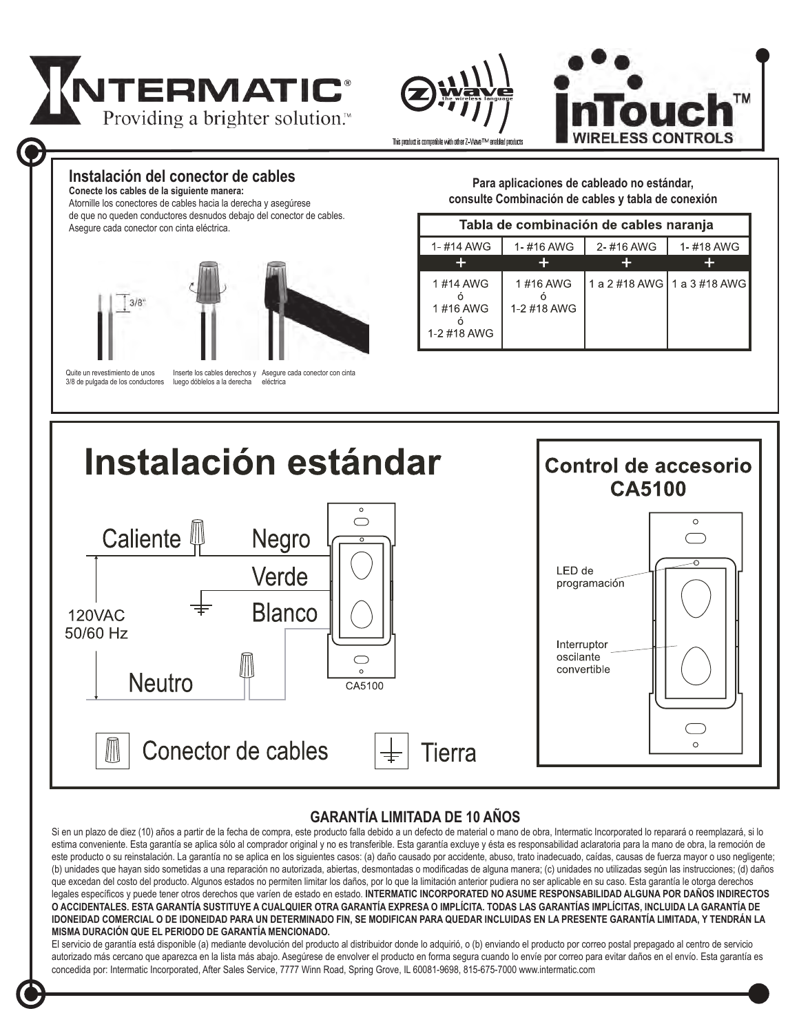





### **Instalación del conector de cables**

**Conecte los cables de la siguiente manera:** Atornille los conectores de cables hacia la derecha y asegúrese

de que no queden conductores desnudos debajo del conector de cables. Asegure cada conector con cinta eléctrica.



Quite un revestimiento de unos 3/8 de pulgada de los conductores

Inserte los cables derechos y luego dóblelos a la derecha Asegure cada conector con cinta eléctrica

**Para aplicaciones de cableado no estándar, consulte Combinación de cables y tabla de conexión**

| Tabla de combinación de cables naranja |                         |           |                               |  |  |
|----------------------------------------|-------------------------|-----------|-------------------------------|--|--|
| 1-#14 AWG                              | 1-#16 AWG               | 2-#16 AWG | 1-#18 AWG                     |  |  |
|                                        |                         |           |                               |  |  |
| 1#14 AWG<br>1#16 AWG<br>1-2 #18 AWG    | 1#16 AWG<br>1-2 #18 AWG |           | 1 a 2 #18 AWG   1 a 3 #18 AWG |  |  |



### **GARANTÍA LIMITADA DE 10 AÑOS**

Si en un plazo de diez (10) años a partir de la fecha de compra, este producto falla debido a un defecto de material o mano de obra, Intermatic Incorporated lo reparará o reemplazará, si lo estima conveniente. Esta garantía se aplica sólo al comprador original y no es transferible. Esta garantía excluye y ésta es responsabilidad aclaratoria para la mano de obra, la remoción de este producto o su reinstalación. La garantía no se aplica en los siguientes casos: (a) daño causado por accidente, abuso, trato inadecuado, caídas, causas de fuerza mayor o uso negligente; (b) unidades que hayan sido sometidas a una reparación no autorizada, abiertas, desmontadas o modificadas de alguna manera; (c) unidades no utilizadas según las instrucciones; (d) daños que excedan del costo del producto. Algunos estados no permiten limitar los daños, por lo que la limitación anterior pudiera no ser aplicable en su caso. Esta garantía le otorga derechos legales específicos y puede tener otros derechos que varíen de estado en estado. **INTERMATIC INCORPORATED NO ASUME RESPONSABILIDAD ALGUNA POR DAÑOS INDIRECTOS O ACCIDENTALES. ESTA GARANTÍA SUSTITUYE A CUALQUIER OTRA GARANTÍA EXPRESA O IMPLÍCITA. TODAS LAS GARANTÍAS IMPLÍCITAS, INCLUIDA LA GARANTÍA DE IDONEIDAD COMERCIAL O DE IDONEIDAD PARA UN DETERMINADO FIN, SE MODIFICAN PARA QUEDAR INCLUIDAS EN LA PRESENTE GARANTÍA LIMITADA, Y TENDRÁN LA MISMA DURACIÓN QUE EL PERIODO DE GARANTÍA MENCIONADO.** 

El servicio de garantía está disponible (a) mediante devolución del producto al distribuidor donde lo adquirió, o (b) enviando el producto por correo postal prepagado al centro de servicio autorizado más cercano que aparezca en la lista más abajo. Asegúrese de envolver el producto en forma segura cuando lo envíe por correo para evitar daños en el envío. Esta garantía es concedida por: Intermatic Incorporated, After Sales Service, 7777 Winn Road, Spring Grove, IL 60081-9698, 815-675-7000 www.intermatic.com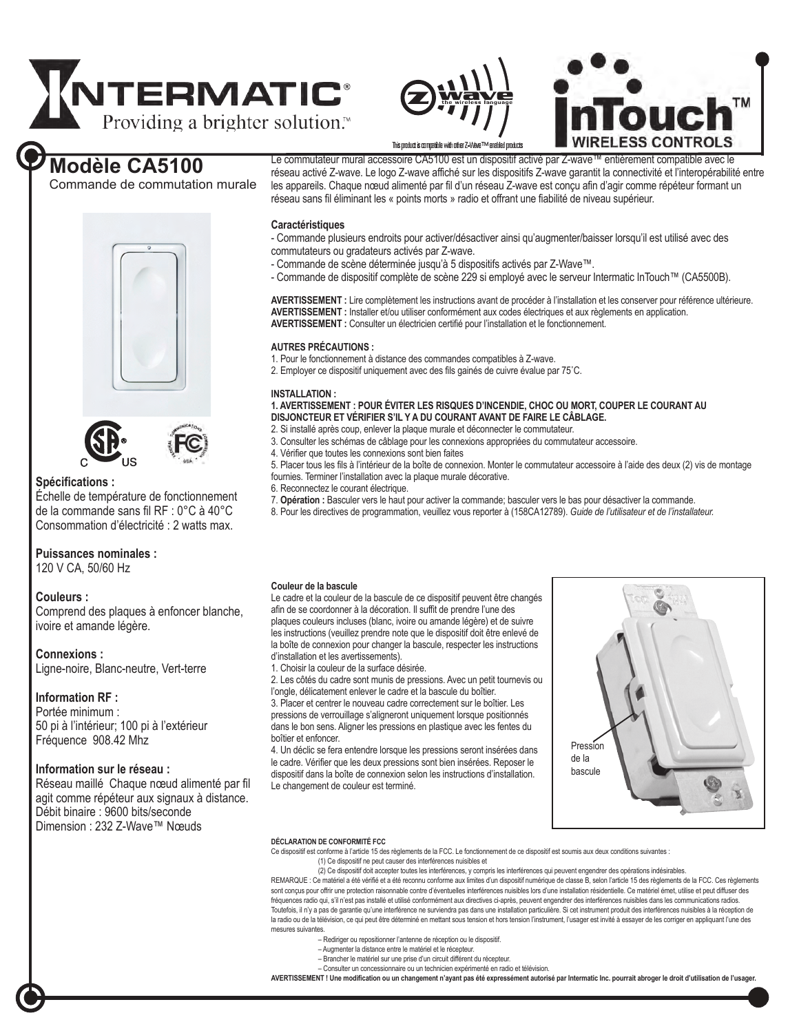





## **Modèle CA5100**

Commande de commutation murale

Le commutateur mural accessoire CA5100 est un dispositif activé par Z-wave™ entièrement compatible avec le réseau activé Z-wave. Le logo Z-wave affiché sur les dispositifs Z-wave garantit la connectivité et l'interopérabilité entre les appareils. Chaque nœud alimenté par fil d'un réseau Z-wave est conçu afin d'agir comme répéteur formant un réseau sans fil éliminant les « points morts » radio et offrant une fiabilité de niveau supérieur.

### **Caractéristiques**

- Commande plusieurs endroits pour activer/désactiver ainsi qu'augmenter/baisser lorsqu'il est utilisé avec des commutateurs ou gradateurs activés par Z-wave.

- Commande de scène déterminée jusqu'à 5 dispositifs activés par Z-Wave™.
- Commande de dispositif complète de scène 229 si employé avec le serveur Intermatic InTouch™ (CA5500B).

**AVERTISSEMENT :** Lire complètement les instructions avant de procéder à l'installation et les conserver pour référence ultérieure. **AVERTISSEMENT :** Installer et/ou utiliser conformément aux codes électriques et aux règlements en application. **AVERTISSEMENT :** Consulter un électricien certifié pour l'installation et le fonctionnement.

### **AUTRES PRÉCAUTIONS :**

1. Pour le fonctionnement à distance des commandes compatibles à Z-wave.

2. Employer ce dispositif uniquement avec des fils gainés de cuivre évalue par 75˚C.

### **INSTALLATION :**

### **1. AVERTISSEMENT : POUR ÉVITER LES RISQUES D'INCENDIE, CHOC OU MORT, COUPER LE COURANT AU DISJONCTEUR ET VÉRIFIER S'IL Y A DU COURANT AVANT DE FAIRE LE CÂBLAGE.**

- 2. Si installé après coup, enlever la plaque murale et déconnecter le commutateur.
- 3. Consulter les schémas de câblage pour les connexions appropriées du commutateur accessoire.
- 4. Vérifier que toutes les connexions sont bien faites
- 5. Placer tous les fils à l'intérieur de la boîte de connexion. Monter le commutateur accessoire à l'aide des deux (2) vis de montage fournies. Terminer l'installation avec la plaque murale décorative.
- 6. Reconnectez le courant électrique.
- 7. **Opération :** Basculer vers le haut pour activer la commande; basculer vers le bas pour désactiver la commande.
- 8. Pour les directives de programmation, veuillez vous reporter à (158CA12789). *Guide de l'utilisateur et de l'installateur.*

### **Puissances nominales :**

120 V CA, 50/60 Hz

**Spécifications :** 

### **Couleurs :**

Comprend des plaques à enfoncer blanche, ivoire et amande légère.

Échelle de température de fonctionnement de la commande sans fil RF : 0°C à 40°C Consommation d'électricité : 2 watts max.

### **Connexions :**

Ligne-noire, Blanc-neutre, Vert-terre

### **Information RF :**

Portée minimum : 50 pi à l'intérieur; 100 pi à l'extérieur Fréquence 908.42 Mhz

### **Information sur le réseau :**

Réseau maillé Chaque nœud alimenté par fil agit comme répéteur aux signaux à distance. Débit binaire : 9600 bits/seconde Dimension : 232 Z-Wave™ Nœuds

### **Couleur de la bascule**

Le cadre et la couleur de la bascule de ce dispositif peuvent être changés afin de se coordonner à la décoration. Il suffit de prendre l'une des plaques couleurs incluses (blanc, ivoire ou amande légère) et de suivre les instructions (veuillez prendre note que le dispositif doit être enlevé de la boîte de connexion pour changer la bascule, respecter les instructions d'installation et les avertissements).

1. Choisir la couleur de la surface désirée.

2. Les côtés du cadre sont munis de pressions. Avec un petit tournevis ou l'ongle, délicatement enlever le cadre et la bascule du boîtier. 3. Placer et centrer le nouveau cadre correctement sur le boîtier. Les pressions de verrouillage s'aligneront uniquement lorsque positionnés dans le bon sens. Aligner les pressions en plastique avec les fentes du boîtier et enfoncer.

4. Un déclic se fera entendre lorsque les pressions seront insérées dans le cadre. Vérifier que les deux pressions sont bien insérées. Reposer le dispositif dans la boîte de connexion selon les instructions d'installation. Le changement de couleur est terminé.



### **DÉCLARATION DE CONFORMITÉ FCC**

Ce dispositif est conforme à l'article 15 des règlements de la FCC. Le fonctionnement de ce dispositif est soumis aux deux conditions suivantes :

(1) Ce dispositif ne peut causer des interférences nuisibles et

(2) Ce dispositif doit accepter toutes les interférences, y compris les interférences qui peuvent engendrer des opérations indésirables. REMARQUE : Ce matériel a été vérifié et a été reconnu conforme aux limites d'un dispositif numérique de classe B, selon l'article 15 des règlements de la FCC. Ces règlements sont conçus pour offrir une protection raisonnable contre d'éventuelles interférences nuisibles lors d'une installation résidentielle. Ce matériel émet, utilise et peut diffuser des fréquences radio qui, s'il n'est pas installé et utilisé conformément aux directives ci-après, peuvent engendrer des interférences nuisibles dans les communications radios. Toutefois, il n'y a pas de garantie qu'une interférence ne surviendra pas dans une installation particulière. Si cet instrument produit des interférences nuisibles à la réception de la radio ou de la télévision, ce qui peut être déterminé en mettant sous tension et hors tension l'instrument, l'usager est invité à essayer de les corriger en appliquant l'une des mesures suivantes

- Rediriger ou repositionner l'antenne de réception ou le dispositif.
- Augmenter la distance entre le matériel et le récepteur.
- Brancher le matériel sur une prise d'un circuit différent du récepteur.
- Consulter un concessionnaire ou un technicien expérimenté en radio et télévision.

**AVERTISSEMENT ! Une modification ou un changement n'ayant pas été expressément autorisé par Intermatic Inc. pourrait abroger le droit d'utilisation de l'usager.**